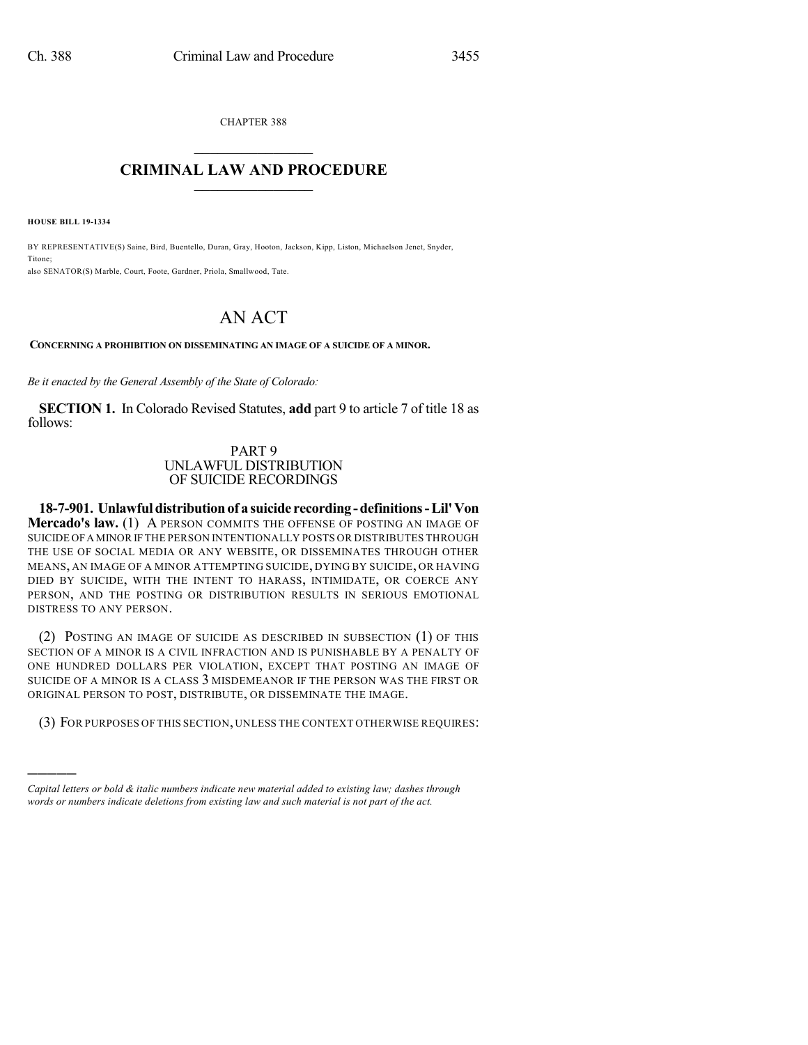CHAPTER 388

## $\overline{\phantom{a}}$  . The set of the set of the set of the set of the set of the set of the set of the set of the set of the set of the set of the set of the set of the set of the set of the set of the set of the set of the set o **CRIMINAL LAW AND PROCEDURE**  $\frac{1}{2}$  ,  $\frac{1}{2}$  ,  $\frac{1}{2}$  ,  $\frac{1}{2}$  ,  $\frac{1}{2}$  ,  $\frac{1}{2}$  ,  $\frac{1}{2}$

**HOUSE BILL 19-1334**

)))))

BY REPRESENTATIVE(S) Saine, Bird, Buentello, Duran, Gray, Hooton, Jackson, Kipp, Liston, Michaelson Jenet, Snyder, Titone; also SENATOR(S) Marble, Court, Foote, Gardner, Priola, Smallwood, Tate.

## AN ACT

**CONCERNING A PROHIBITION ON DISSEMINATING AN IMAGE OF A SUICIDE OF A MINOR.**

*Be it enacted by the General Assembly of the State of Colorado:*

**SECTION 1.** In Colorado Revised Statutes, **add** part 9 to article 7 of title 18 as follows:

## PART 9 UNLAWFUL DISTRIBUTION OF SUICIDE RECORDINGS

**18-7-901. Unlawfuldistributionof a suicide recording-definitions-Lil'Von Mercado's law.** (1) A PERSON COMMITS THE OFFENSE OF POSTING AN IMAGE OF SUICIDE OFA MINOR IF THE PERSON INTENTIONALLY POSTS OR DISTRIBUTES THROUGH THE USE OF SOCIAL MEDIA OR ANY WEBSITE, OR DISSEMINATES THROUGH OTHER MEANS, AN IMAGE OF A MINOR ATTEMPTING SUICIDE, DYING BY SUICIDE, OR HAVING DIED BY SUICIDE, WITH THE INTENT TO HARASS, INTIMIDATE, OR COERCE ANY PERSON, AND THE POSTING OR DISTRIBUTION RESULTS IN SERIOUS EMOTIONAL DISTRESS TO ANY PERSON.

(2) POSTING AN IMAGE OF SUICIDE AS DESCRIBED IN SUBSECTION (1) OF THIS SECTION OF A MINOR IS A CIVIL INFRACTION AND IS PUNISHABLE BY A PENALTY OF ONE HUNDRED DOLLARS PER VIOLATION, EXCEPT THAT POSTING AN IMAGE OF SUICIDE OF A MINOR IS A CLASS 3 MISDEMEANOR IF THE PERSON WAS THE FIRST OR ORIGINAL PERSON TO POST, DISTRIBUTE, OR DISSEMINATE THE IMAGE.

(3) FOR PURPOSES OF THIS SECTION, UNLESS THE CONTEXT OTHERWISE REQUIRES:

*Capital letters or bold & italic numbers indicate new material added to existing law; dashes through words or numbers indicate deletions from existing law and such material is not part of the act.*